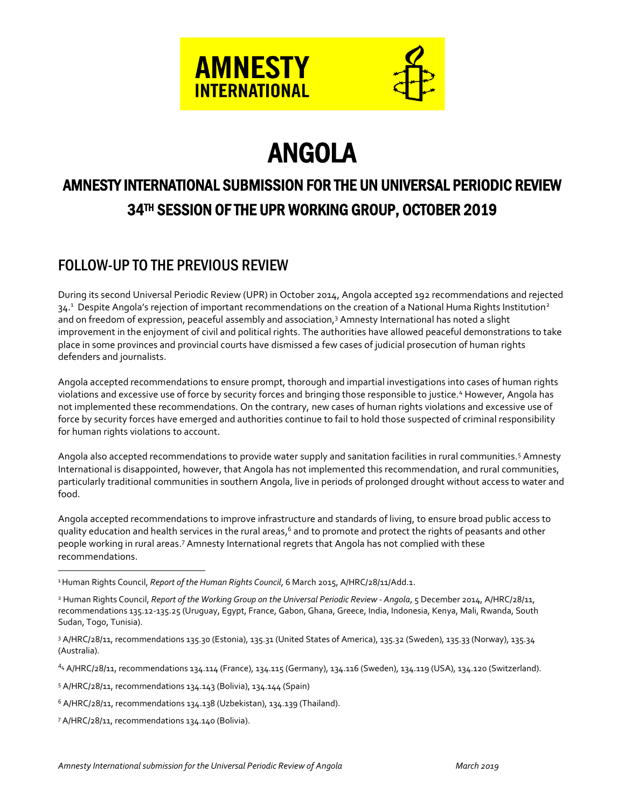



# ANGOLA

# AMNESTY INTERNATIONAL SUBMISSION FOR THE UN UNIVERSAL PERIODIC REVIEW 34TH SESSION OF THE UPR WORKING GROUP, OCTOBER 2019

# FOLLOW-UP TO THE PREVIOUS REVIEW

During its second Universal Periodic Review (UPR) in October 2014, Angola accepted 192 recommendations and rejected 34.<sup>1</sup> Despite Angola's rejection of important recommendations on the creation of a National Huma Rights Institution<sup>2</sup> and on freedom of expression, peaceful assembly and association, <sup>3</sup> Amnesty International has noted a slight improvement in the enjoyment of civil and political rights. The authorities have allowed peaceful demonstrations to take place in some provinces and provincial courts have dismissed a few cases of judicial prosecution of human rights defenders and journalists.

Angola accepted recommendations to ensure prompt, thorough and impartial investigations into cases of human rights violations and excessive use of force by security forces and bringing those responsible to justice.<sup>4</sup> However, Angola has not implemented these recommendations. On the contrary, new cases of human rights violations and excessive use of force by security forces have emerged and authorities continue to fail to hold those suspected of criminal responsibility for human rights violations to account.

Angola also accepted recommendations to provide water supply and sanitation facilities in rural communities.<sup>5</sup> Amnesty International is disappointed, however, that Angola has not implemented this recommendation, and rural communities, particularly traditional communities in southern Angola, live in periods of prolonged drought without access to water and food.

Angola accepted recommendations to improve infrastructure and standards of living, to ensure broad public access to quality education and health services in the rural areas,<sup>6</sup> and to promote and protect the rights of peasants and other people working in rural areas.<sup>7</sup> Amnesty International regrets that Angola has not complied with these recommendations.

<sup>4</sup><sup>4</sup> A/HRC/28/11, recommendations 134.114 (France), 134.115 (Germany), 134.116 (Sweden), 134.119 (USA), 134.120 (Switzerland).

<sup>5</sup> A/HRC/28/11, recommendations 134.143 (Bolivia), 134.144 (Spain)

<sup>6</sup> A/HRC/28/11, recommendations 134.138 (Uzbekistan), 134.139 (Thailand).

<sup>7</sup> A/HRC/28/11, recommendations 134.140 (Bolivia).

 $\overline{a}$ 

<sup>1</sup>Human Rights Council, *Report of the Human Rights Council*, 6 March 2015, A/HRC/28/11/Add.1.

<sup>2</sup> Human Rights Council, *Report of the Working Group on the Universal Periodic Review - Angola*, 5 December 2014, A/HRC/28/11, recommendations 135.12-135.25 (Uruguay, Egypt, France, Gabon, Ghana, Greece, India, Indonesia, Kenya, Mali, Rwanda, South Sudan, Togo, Tunisia).

<sup>3</sup> A/HRC/28/11, recommendations 135.30 (Estonia), 135.31 (United States of America), 135.32 (Sweden), 135.33 (Norway), 135.34 (Australia).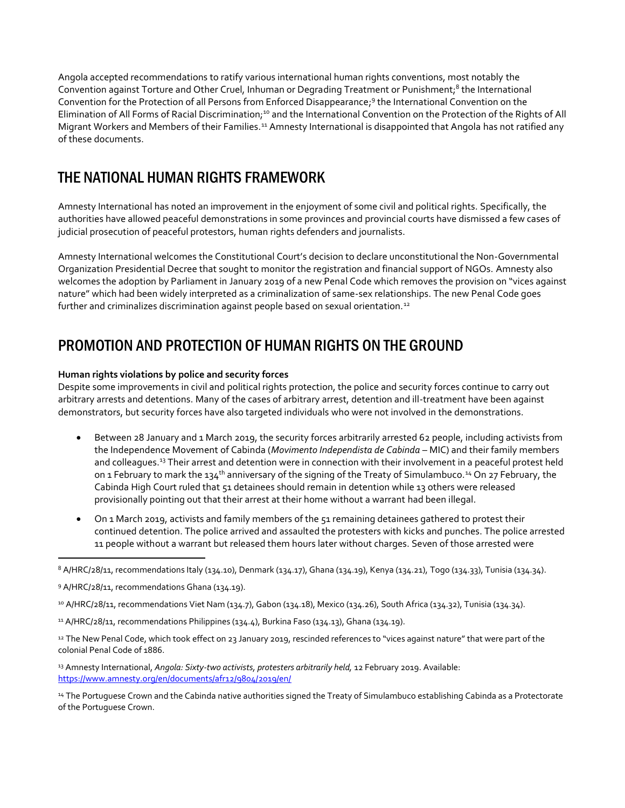Angola accepted recommendations to ratify various international human rights conventions, most notably the Convention against Torture and Other Cruel, Inhuman or Degrading Treatment or Punishment;<sup>8</sup> the International Convention for the Protection of all Persons from Enforced Disappearance;<sup>9</sup> the International Convention on the Elimination of All Forms of Racial Discrimination;<sup>10</sup> and the International Convention on the Protection of the Rights of All Migrant Workers and Members of their Families.<sup>11</sup> Amnesty International is disappointed that Angola has not ratified any of these documents.

## THE NATIONAL HUMAN RIGHTS FRAMEWORK

Amnesty International has noted an improvement in the enjoyment of some civil and political rights. Specifically, the authorities have allowed peaceful demonstrations in some provinces and provincial courts have dismissed a few cases of judicial prosecution of peaceful protestors, human rights defenders and journalists.

Amnesty International welcomes the Constitutional Court's decision to declare unconstitutional the Non-Governmental Organization Presidential Decree that sought to monitor the registration and financial support of NGOs. Amnesty also welcomes the adoption by Parliament in January 2019 of a new Penal Code which removes the provision on "vices against nature" which had been widely interpreted as a criminalization of same-sex relationships. The new Penal Code goes further and criminalizes discrimination against people based on sexual orientation.<sup>12</sup>

# PROMOTION AND PROTECTION OF HUMAN RIGHTS ON THE GROUND

#### **Human rights violations by police and security forces**

Despite some improvements in civil and political rights protection, the police and security forces continue to carry out arbitrary arrests and detentions. Many of the cases of arbitrary arrest, detention and ill-treatment have been against demonstrators, but security forces have also targeted individuals who were not involved in the demonstrations.

- Between 28 January and 1 March 2019, the security forces arbitrarily arrested 62 people, including activists from the Independence Movement of Cabinda (*Movimento Independista de Cabinda* – MIC) and their family members and colleagues.<sup>13</sup> Their arrest and detention were in connection with their involvement in a peaceful protest held on 1 February to mark the 134<sup>th</sup> anniversary of the signing of the Treaty of Simulambuco.<sup>14</sup> On 27 February, the Cabinda High Court ruled that 51 detainees should remain in detention while 13 others were released provisionally pointing out that their arrest at their home without a warrant had been illegal.
- On 1 March 2019, activists and family members of the 51 remaining detainees gathered to protest their continued detention. The police arrived and assaulted the protesters with kicks and punches. The police arrested 11 people without a warrant but released them hours later without charges. Seven of those arrested were

 $\overline{a}$ 

 $114$  A/HRC/28/11, recommendations Philippines (134.4), Burkina Faso (134.13), Ghana (134.19).

12 The New Penal Code, which took effect on 23 January 2019, rescinded references to "vices against nature" that were part of the colonial Penal Code of 1886.

<sup>13</sup> Amnesty International, *Angola: Sixty-two activists, protesters arbitrarily held*, 12 February 2019. Available: <https://www.amnesty.org/en/documents/afr12/9804/2019/en/>

14 The Portuguese Crown and the Cabinda native authorities signed the Treaty of Simulambuco establishing Cabinda as a Protectorate of the Portuguese Crown.

<sup>8</sup> A/HRC/28/11, recommendations Italy (134.10), Denmark (134.17), Ghana (134.19), Kenya (134.21), Togo (134.33), Tunisia (134.34).

<sup>9</sup> A/HRC/28/11, recommendations Ghana (134.19).

<sup>10</sup> A/HRC/28/11, recommendations Viet Nam (134.7), Gabon (134.18), Mexico (134.26), South Africa (134.32), Tunisia (134.34).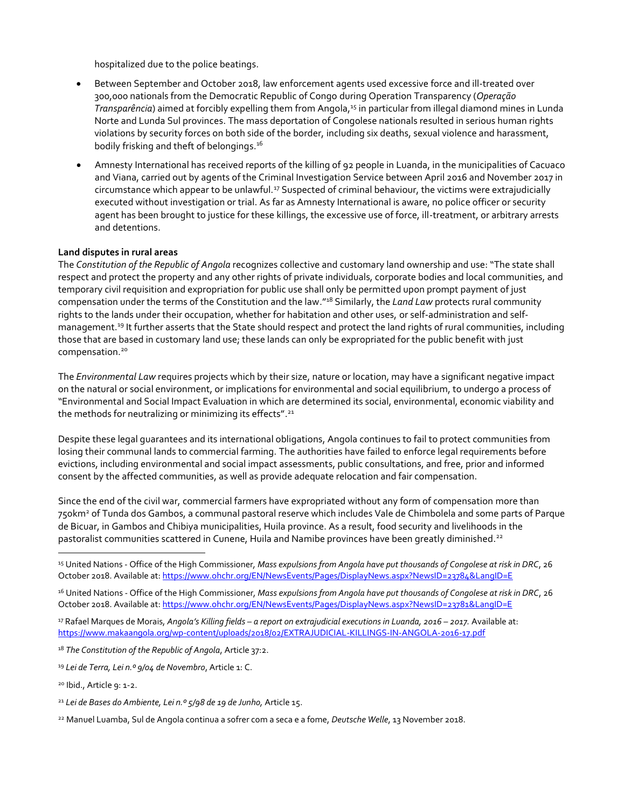hospitalized due to the police beatings.

- Between September and October 2018, law enforcement agents used excessive force and ill-treated over 300,000 nationals from the Democratic Republic of Congo during Operation Transparency (*Operação*  Transparência) aimed at forcibly expelling them from Angola,<sup>15</sup> in particular from illegal diamond mines in Lunda Norte and Lunda Sul provinces. The mass deportation of Congolese nationals resulted in serious human rights violations by security forces on both side of the border, including six deaths, sexual violence and harassment, bodily frisking and theft of belongings.<sup>16</sup>
- Amnesty International has received reports of the killing of 92 people in Luanda, in the municipalities of Cacuaco and Viana, carried out by agents of the Criminal Investigation Service between April 2016 and November 2017 in circumstance which appear to be unlawful.<sup>17</sup> Suspected of criminal behaviour, the victims were extrajudicially executed without investigation or trial. As far as Amnesty International is aware, no police officer or security agent has been brought to justice for these killings, the excessive use of force, ill-treatment, or arbitrary arrests and detentions.

#### **Land disputes in rural areas**

The *Constitution of the Republic of Angola* recognizes collective and customary land ownership and use: "The state shall respect and protect the property and any other rights of private individuals, corporate bodies and local communities, and temporary civil requisition and expropriation for public use shall only be permitted upon prompt payment of just compensation under the terms of the Constitution and the law." <sup>18</sup> Similarly, the *Land Law* protects rural community rights to the lands under their occupation, whether for habitation and other uses, or self-administration and selfmanagement.<sup>19</sup> It further asserts that the State should respect and protect the land rights of rural communities, including those that are based in customary land use; these lands can only be expropriated for the public benefit with just compensation. 20

The *Environmental Law* requires projects which by their size, nature or location, may have a significant negative impact on the natural or social environment, or implications for environmental and social equilibrium, to undergo a process of "Environmental and Social Impact Evaluation in which are determined its social, environmental, economic viability and the methods for neutralizing or minimizing its effects".<sup>21</sup>

Despite these legal guarantees and its international obligations, Angola continues to fail to protect communities from losing their communal lands to commercial farming. The authorities have failed to enforce legal requirements before evictions, including environmental and social impact assessments, public consultations, and free, prior and informed consent by the affected communities, as well as provide adequate relocation and fair compensation.

Since the end of the civil war, commercial farmers have expropriated without any form of compensation more than 750km<sup>2</sup> of Tunda dos Gambos, a communal pastoral reserve which includes Vale de Chimbolela and some parts of Parque de Bicuar, in Gambos and Chibiya municipalities, Huila province. As a result, food security and livelihoods in the pastoralist communities scattered in Cunene, Huila and Namibe provinces have been greatly diminished.<sup>22</sup>

 $\overline{a}$ 

<sup>15</sup> United Nations - Office of the High Commissioner*, Mass expulsions from Angola have put thousands of Congolese at risk in DRC*, 26 October 2018. Available at: <https://www.ohchr.org/EN/NewsEvents/Pages/DisplayNews.aspx?NewsID=23784&LangID=E>

<sup>16</sup> United Nations - Office of the High Commissioner*, Mass expulsions from Angola have put thousands of Congolese at risk in DRC*, 26 October 2018. Available at[: https://www.ohchr.org/EN/NewsEvents/Pages/DisplayNews.aspx?NewsID=23781&LangID=E](https://www.ohchr.org/EN/NewsEvents/Pages/DisplayNews.aspx?NewsID=23781&LangID=E)

<sup>17</sup> Rafael Marques de Morais, *Angola's Killing fields – a report on extrajudicial executions in Luanda, 2016 – 2017.* Available at: <https://www.makaangola.org/wp-content/uploads/2018/02/EXTRAJUDICIAL-KILLINGS-IN-ANGOLA-2016-17.pdf>

<sup>18</sup> *The Constitution of the Republic of Angola*, Article 37:2.

<sup>19</sup> *Lei de Terra, Lei n.º 9/04 de Novembro*, Article 1: C.

<sup>20</sup> Ibid., Article 9: 1-2.

<sup>21</sup> *Lei de Bases do Ambiente, Lei n.º 5/98 de 19 de Junho,* Article 15.

<sup>22</sup> Manuel Luamba, Sul de Angola continua a sofrer com a seca e a fome, *Deutsche Welle*, 13 November 2018.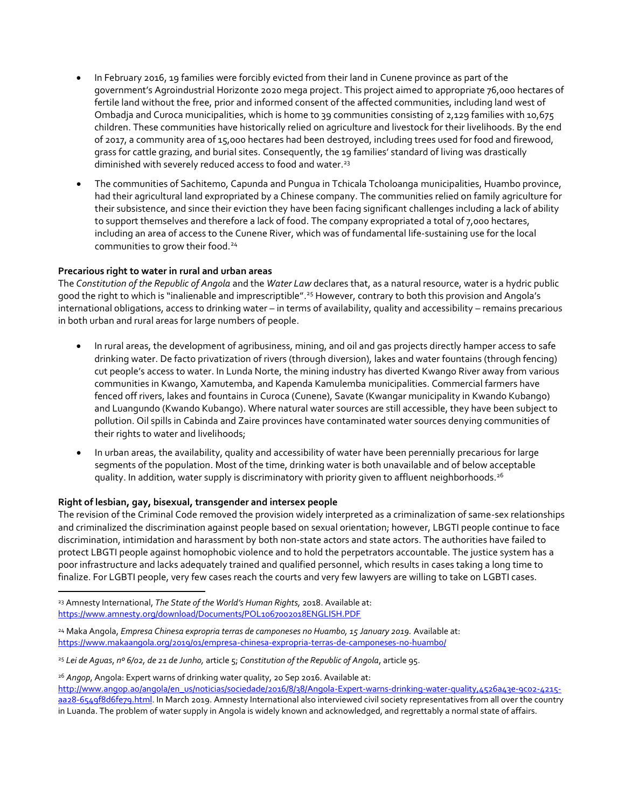- In February 2016, 19 families were forcibly evicted from their land in Cunene province as part of the government's Agroindustrial Horizonte 2020 mega project. This project aimed to appropriate 76,000 hectares of fertile land without the free, prior and informed consent of the affected communities, including land west of Ombadja and Curoca municipalities, which is home to 39 communities consisting of 2,129 families with 10,675 children. These communities have historically relied on agriculture and livestock for their livelihoods. By the end of 2017, a community area of 15,000 hectares had been destroyed, including trees used for food and firewood, grass for cattle grazing, and burial sites. Consequently, the 19 families' standard of living was drastically diminished with severely reduced access to food and water.<sup>23</sup>
- The communities of Sachitemo, Capunda and Pungua in Tchicala Tcholoanga municipalities, Huambo province, had their agricultural land expropriated by a Chinese company. The communities relied on family agriculture for their subsistence, and since their eviction they have been facing significant challenges including a lack of ability to support themselves and therefore a lack of food. The company expropriated a total of 7,000 hectares, including an area of access to the Cunene River, which was of fundamental life-sustaining use for the local communities to grow their food.<sup>24</sup>

#### **Precarious right to water in rural and urban areas**

The *Constitution of the Republic of Angola* and the *Water Law* declares that, as a natural resource, water is a hydric public good the right to which is "inalienable and imprescriptible". <sup>25</sup> However, contrary to both this provision and Angola's international obligations, access to drinking water – in terms of availability, quality and accessibility – remains precarious in both urban and rural areas for large numbers of people.

- In rural areas, the development of agribusiness, mining, and oil and gas projects directly hamper access to safe drinking water. De facto privatization of rivers (through diversion), lakes and water fountains (through fencing) cut people's access to water. In Lunda Norte, the mining industry has diverted Kwango River away from various communities in Kwango, Xamutemba, and Kapenda Kamulemba municipalities. Commercial farmers have fenced off rivers, lakes and fountains in Curoca (Cunene), Savate (Kwangar municipality in Kwando Kubango) and Luangundo (Kwando Kubango). Where natural water sources are still accessible, they have been subject to pollution. Oil spills in Cabinda and Zaire provinces have contaminated water sources denying communities of their rights to water and livelihoods;
- In urban areas, the availability, quality and accessibility of water have been perennially precarious for large segments of the population. Most of the time, drinking water is both unavailable and of below acceptable quality. In addition, water supply is discriminatory with priority given to affluent neighborhoods.<sup>26</sup>

#### **Right of lesbian, gay, bisexual, transgender and intersex people**

 $\overline{a}$ 

The revision of the Criminal Code removed the provision widely interpreted as a criminalization of same-sex relationships and criminalized the discrimination against people based on sexual orientation; however, LBGTI people continue to face discrimination, intimidation and harassment by both non-state actors and state actors. The authorities have failed to protect LBGTI people against homophobic violence and to hold the perpetrators accountable. The justice system has a poor infrastructure and lacks adequately trained and qualified personnel, which results in cases taking a long time to finalize. For LGBTI people, very few cases reach the courts and very few lawyers are willing to take on LGBTI cases.

<sup>26</sup> Angop, Angola: Expert warns of drinking water quality, 20 Sep 2016. Available at:

<sup>23</sup> Amnesty International, *The State of the World's Human Rights,* 2018. Available at: <https://www.amnesty.org/download/Documents/POL1067002018ENGLISH.PDF>

<sup>24</sup> Maka Angola, *Empresa Chinesa expropria terras de camponeses no Huambo, 15 January 2019.* Available at: <https://www.makaangola.org/2019/01/empresa-chinesa-expropria-terras-de-camponeses-no-huambo/>

<sup>25</sup> *Lei de Aguas*, *nº 6/02, de 21 de Junho,* article 5; *Constitution of the Republic of Angola*, article 95.

[http://www.angop.ao/angola/en\\_us/noticias/sociedade/2016/8/38/Angola-Expert-warns-drinking-water-quality,4526a43e-9c02-4215](http://www.angop.ao/angola/en_us/noticias/sociedade/2016/8/38/Angola-Expert-warns-drinking-water-quality,4526a43e-9c02-4215-aa28-6549f8d6fe79.html) [aa28-6549f8d6fe79.html.](http://www.angop.ao/angola/en_us/noticias/sociedade/2016/8/38/Angola-Expert-warns-drinking-water-quality,4526a43e-9c02-4215-aa28-6549f8d6fe79.html) In March 2019. Amnesty International also interviewed civil society representatives from all over the country in Luanda. The problem of water supply in Angola is widely known and acknowledged, and regrettably a normal state of affairs.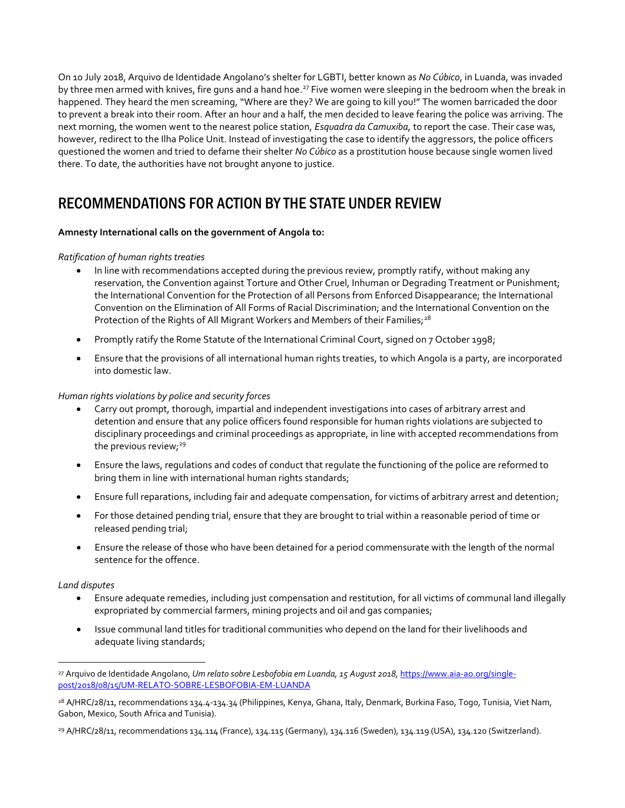On 10 July 2018, Arquivo de Identidade Angolano's shelter for LGBTI, better known as *No Cúbico*, in Luanda, was invaded by three men armed with knives, fire guns and a hand hoe.<sup>27</sup> Five women were sleeping in the bedroom when the break in happened. They heard the men screaming, "Where are they? We are going to kill you!" The women barricaded the door to prevent a break into their room. After an hour and a half, the men decided to leave fearing the police was arriving. The next morning, the women went to the nearest police station, *Esquadra da Camuxiba,* to report the case. Their case was, however, redirect to the Ilha Police Unit. Instead of investigating the case to identify the aggressors, the police officers questioned the women and tried to defame their shelter *No Cúbico* as a prostitution house because single women lived there. To date, the authorities have not brought anyone to justice.

### RECOMMENDATIONS FOR ACTION BY THE STATE UNDER REVIEW

#### **Amnesty International calls on the government of Angola to:**

#### *Ratification of human rights treaties*

- In line with recommendations accepted during the previous review, promptly ratify, without making any reservation, the Convention against Torture and Other Cruel, Inhuman or Degrading Treatment or Punishment; the International Convention for the Protection of all Persons from Enforced Disappearance; the International Convention on the Elimination of All Forms of Racial Discrimination; and the International Convention on the Protection of the Rights of All Migrant Workers and Members of their Families;<sup>28</sup>
- **•** Promptly ratify the Rome Statute of the International Criminal Court, signed on 7 October 1998;
- Ensure that the provisions of all international human rights treaties, to which Angola is a party, are incorporated into domestic law.

#### *Human rights violations by police and security forces*

- Carry out prompt, thorough, impartial and independent investigations into cases of arbitrary arrest and detention and ensure that any police officers found responsible for human rights violations are subjected to disciplinary proceedings and criminal proceedings as appropriate, in line with accepted recommendations from the previous review;<sup>29</sup>
- Ensure the laws, regulations and codes of conduct that regulate the functioning of the police are reformed to bring them in line with international human rights standards;
- Ensure full reparations, including fair and adequate compensation, for victims of arbitrary arrest and detention;
- For those detained pending trial, ensure that they are brought to trial within a reasonable period of time or released pending trial;
- Ensure the release of those who have been detained for a period commensurate with the length of the normal sentence for the offence.

#### *Land disputes*

 $\overline{a}$ 

- Ensure adequate remedies, including just compensation and restitution, for all victims of communal land illegally expropriated by commercial farmers, mining projects and oil and gas companies;
- Issue communal land titles for traditional communities who depend on the land for their livelihoods and adequate living standards;

<sup>27</sup> Arquivo de Identidade Angolano, *Um relato sobre Lesbofobia em Luanda, 15 August 2018,* [https://www.aia-ao.org/single](https://www.aia-ao.org/single-post/2018/08/15/UM-RELATO-SOBRE-LESBOFOBIA-EM-LUANDA)[post/2018/08/15/UM-RELATO-SOBRE-LESBOFOBIA-EM-LUANDA](https://www.aia-ao.org/single-post/2018/08/15/UM-RELATO-SOBRE-LESBOFOBIA-EM-LUANDA)

<sup>&</sup>lt;sup>28</sup> A/HRC/28/11, recommendations 134.4-134.34 (Philippines, Kenya, Ghana, Italy, Denmark, Burkina Faso, Togo, Tunisia, Viet Nam, Gabon, Mexico, South Africa and Tunisia).

<sup>29</sup> A/HRC/28/11, recommendations 134.114 (France), 134.115 (Germany), 134.116 (Sweden), 134.119 (USA), 134.120 (Switzerland).